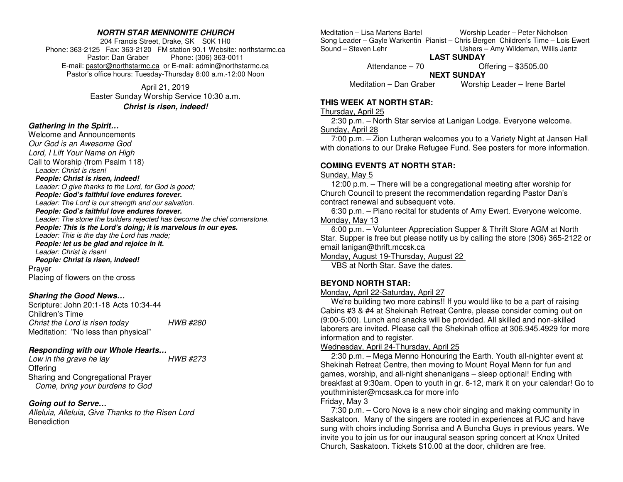### **NORTH STAR MENNONITE CHURCH**

204 Francis Street, Drake, SK S0K 1H0 Phone: 363-2125 Fax: 363-2120 FM station 90.1 Website: northstarmc.ca Pastor: Dan Graber Phone: (306) 363-0011 E-mail: pastor@northstarmc.ca or E-mail: admin@northstarmc.ca Pastor's office hours: Tuesday-Thursday 8:00 a.m.-12:00 Noon

> April 21, 2019 Easter Sunday Worship Service 10:30 a.m. **Christ is risen, indeed!**

### **Gathering in the Spirit…**

 Welcome and Announcements Our God is an Awesome God Lord, I Lift Your Name on High Call to Worship (from Psalm 118) Leader: Christ is risen! **People: Christ is risen, indeed!**  Leader: O give thanks to the Lord, for God is good;**People: God's faithful love endures forever.**  Leader: The Lord is our strength and our salvation.**People: God's faithful love endures forever.**  Leader: The stone the builders rejected has become the chief cornerstone. **People: This is the Lord's doing; it is marvelous in our eyes.** Leader: This is the day the Lord has made; **People: let us be glad and rejoice in it.** Leader: Christ is risen! **People: Christ is risen, indeed!** Prayer Placing of flowers on the cross

### **Sharing the Good News…**

Scripture: John 20:1-18 Acts 10:34-44 Children's Time Christ the Lord is risen today HWB #280 Meditation: "No less than physical"

## **Responding with our Whole Hearts…**

**HWB #273** Low in the grave he lay **Offering**  Sharing and Congregational Prayer Come, bring your burdens to God

## **Going out to Serve…**

 Alleluia, Alleluia, Give Thanks to the Risen Lord **Benediction** 

Meditation – Lisa Martens Bartel Worship Leader – Peter Nicholson Song Leader – Gayle Warkentin Pianist – Chris Bergen Children's Time – Lois Ewert Sound – Steven Lehr The Communist County Ushers – Amy Wildeman, Willis Jantz

**LAST SUNDAY** 

Attendance – 70 Offering – \$3505.00

**NEXT SUNDAY** 

Meditation – Dan Graber Worship Leader – Irene Bartel

# **THIS WEEK AT NORTH STAR:**

#### Thursday, April 25

 2:30 p.m. – North Star service at Lanigan Lodge. Everyone welcome. Sunday, April 28

 7:00 p.m. – Zion Lutheran welcomes you to a Variety Night at Jansen Hall with donations to our Drake Refugee Fund. See posters for more information.

# **COMING EVENTS AT NORTH STAR:**

### Sunday, May 5

 12:00 p.m. – There will be a congregational meeting after worship for Church Council to present the recommendation regarding Pastor Dan's contract renewal and subsequent vote.

 6:30 p.m. – Piano recital for students of Amy Ewert. Everyone welcome. Monday, May 13

 6:00 p.m. – Volunteer Appreciation Supper & Thrift Store AGM at North Star. Supper is free but please notify us by calling the store (306) 365-2122 or email lanigan@thrift.mccsk.ca

Monday, August 19-Thursday, August 22

VBS at North Star. Save the dates.

# **BEYOND NORTH STAR:**

### Monday, April 22-Saturday, April 27

 We're building two more cabins!! If you would like to be a part of raising Cabins #3 & #4 at Shekinah Retreat Centre, please consider coming out on (9:00-5:00). Lunch and snacks will be provided. All skilled and non-skilled laborers are invited. Please call the Shekinah office at 306.945.4929 for more information and to register.

# Wednesday, April 24-Thursday, April 25

 2:30 p.m. – Mega Menno Honouring the Earth. Youth all-nighter event at Shekinah Retreat Centre, then moving to Mount Royal Menn for fun and games, worship, and all-night shenanigans – sleep optional! Ending with breakfast at 9:30am. Open to youth in gr. 6-12, mark it on your calendar! Go to youthminister@mcsask.ca for more info

# Friday, May 3

 7:30 p.m. – Coro Nova is a new choir singing and making community in Saskatoon. Many of the singers are rooted in experiences at RJC and have sung with choirs including Sonrisa and A Buncha Guys in previous years. We invite you to join us for our inaugural season spring concert at Knox United Church, Saskatoon. Tickets \$10.00 at the door, children are free.